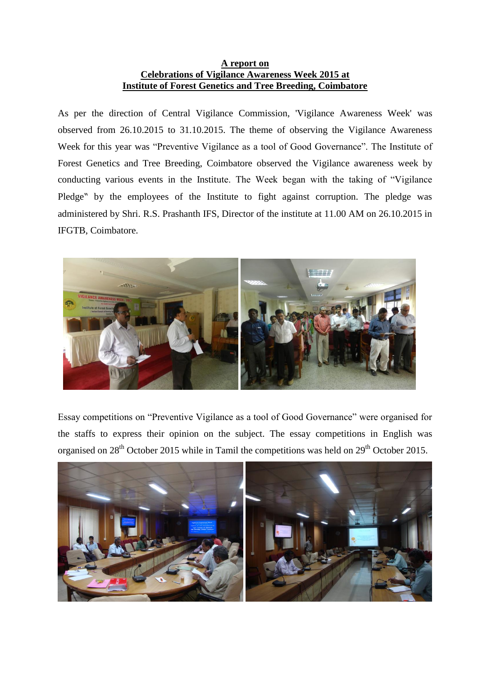## **A report on Celebrations of Vigilance Awareness Week 2015 at Institute of Forest Genetics and Tree Breeding, Coimbatore**

As per the direction of Central Vigilance Commission, 'Vigilance Awareness Week' was observed from 26.10.2015 to 31.10.2015. The theme of observing the Vigilance Awareness Week for this year was "Preventive Vigilance as a tool of Good Governance". The Institute of Forest Genetics and Tree Breeding, Coimbatore observed the Vigilance awareness week by conducting various events in the Institute. The Week began with the taking of "Vigilance Pledge" by the employees of the Institute to fight against corruption. The pledge was administered by Shri. R.S. Prashanth IFS, Director of the institute at 11.00 AM on 26.10.2015 in IFGTB, Coimbatore.



Essay competitions on "Preventive Vigilance as a tool of Good Governance" were organised for the staffs to express their opinion on the subject. The essay competitions in English was organised on  $28<sup>th</sup>$  October 2015 while in Tamil the competitions was held on  $29<sup>th</sup>$  October 2015.

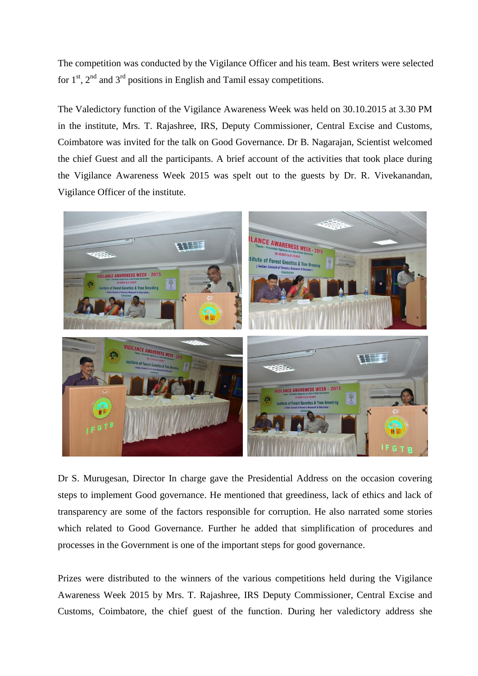The competition was conducted by the Vigilance Officer and his team. Best writers were selected for  $1<sup>st</sup>$ ,  $2<sup>nd</sup>$  and  $3<sup>rd</sup>$  positions in English and Tamil essay competitions.

The Valedictory function of the Vigilance Awareness Week was held on 30.10.2015 at 3.30 PM in the institute, Mrs. T. Rajashree, IRS, Deputy Commissioner, Central Excise and Customs, Coimbatore was invited for the talk on Good Governance. Dr B. Nagarajan, Scientist welcomed the chief Guest and all the participants. A brief account of the activities that took place during the Vigilance Awareness Week 2015 was spelt out to the guests by Dr. R. Vivekanandan, Vigilance Officer of the institute.



Dr S. Murugesan, Director In charge gave the Presidential Address on the occasion covering steps to implement Good governance. He mentioned that greediness, lack of ethics and lack of transparency are some of the factors responsible for corruption. He also narrated some stories which related to Good Governance. Further he added that simplification of procedures and processes in the Government is one of the important steps for good governance.

Prizes were distributed to the winners of the various competitions held during the Vigilance Awareness Week 2015 by Mrs. T. Rajashree, IRS Deputy Commissioner, Central Excise and Customs, Coimbatore, the chief guest of the function. During her valedictory address she